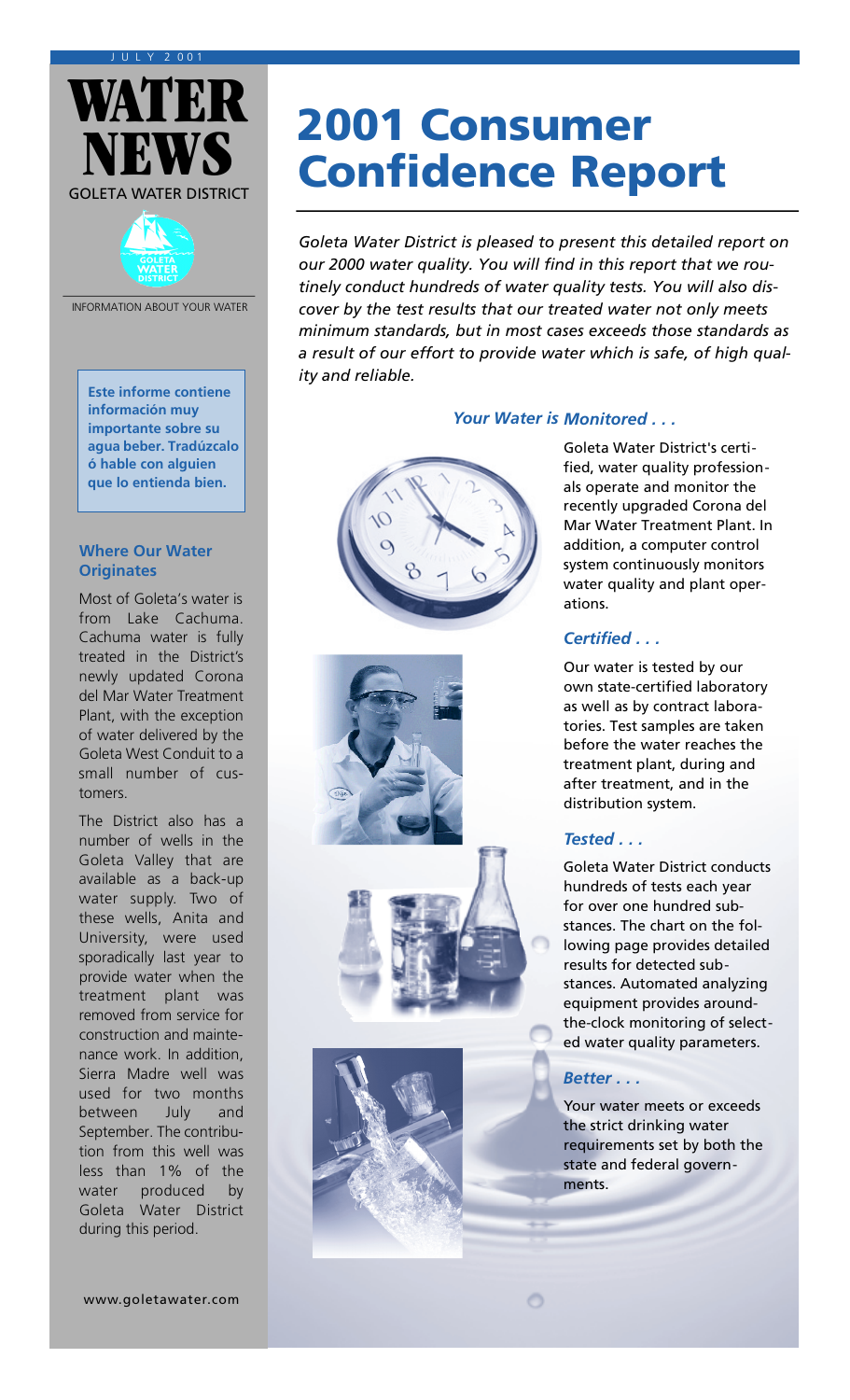#### J U L Y 2 0 0 1





INFORMATION ABOUT YOUR WATER

**Este informe contiene información muy importante sobre su agua beber. Tradúzcalo ó hable con alguien que lo entienda bien.**

#### **Where Our Water Originates**

Most of Goleta's water is from Lake Cachuma. Cachuma water is fully treated in the District's newly updated Corona del Mar Water Treatment Plant, with the exception of water delivered by the Goleta West Conduit to a small number of customers.

The District also has a number of wells in the Goleta Valley that are available as a back-up water supply. Two of these wells, Anita and University, were used sporadically last year to provide water when the treatment plant was removed from service for construction and maintenance work. In addition, Sierra Madre well was used for two months between July and September. The contribution from this well was less than 1% of the water produced by Goleta Water District during this period.

# 2001 Consumer Confidence Report

*Goleta Water District is pleased to present this detailed report on our 2000 water quality. You will find in this report that we routinely conduct hundreds of water quality tests. You will also discover by the test results that our treated water not only meets minimum standards, but in most cases exceeds those standards as a result of our effort to provide water which is safe, of high quality and reliable.*

*Your Water is Monitored . . .*









Goleta Water District's certified, water quality professionals operate and monitor the recently upgraded Corona del Mar Water Treatment Plant. In addition, a computer control system continuously monitors water quality and plant operations.

# *Certified . . .*

Our water is tested by our own state-certified laboratory as well as by contract laboratories. Test samples are taken before the water reaches the treatment plant, during and after treatment, and in the distribution system.

# *Tested . . .*

Goleta Water District conducts hundreds of tests each year for over one hundred substances. The chart on the following page provides detailed results for detected substances. Automated analyzing equipment provides aroundthe-clock monitoring of selected water quality parameters.

# *Better . . .*

Ō

Your water meets or exceeds the strict drinking water requirements set by both the state and federal governments.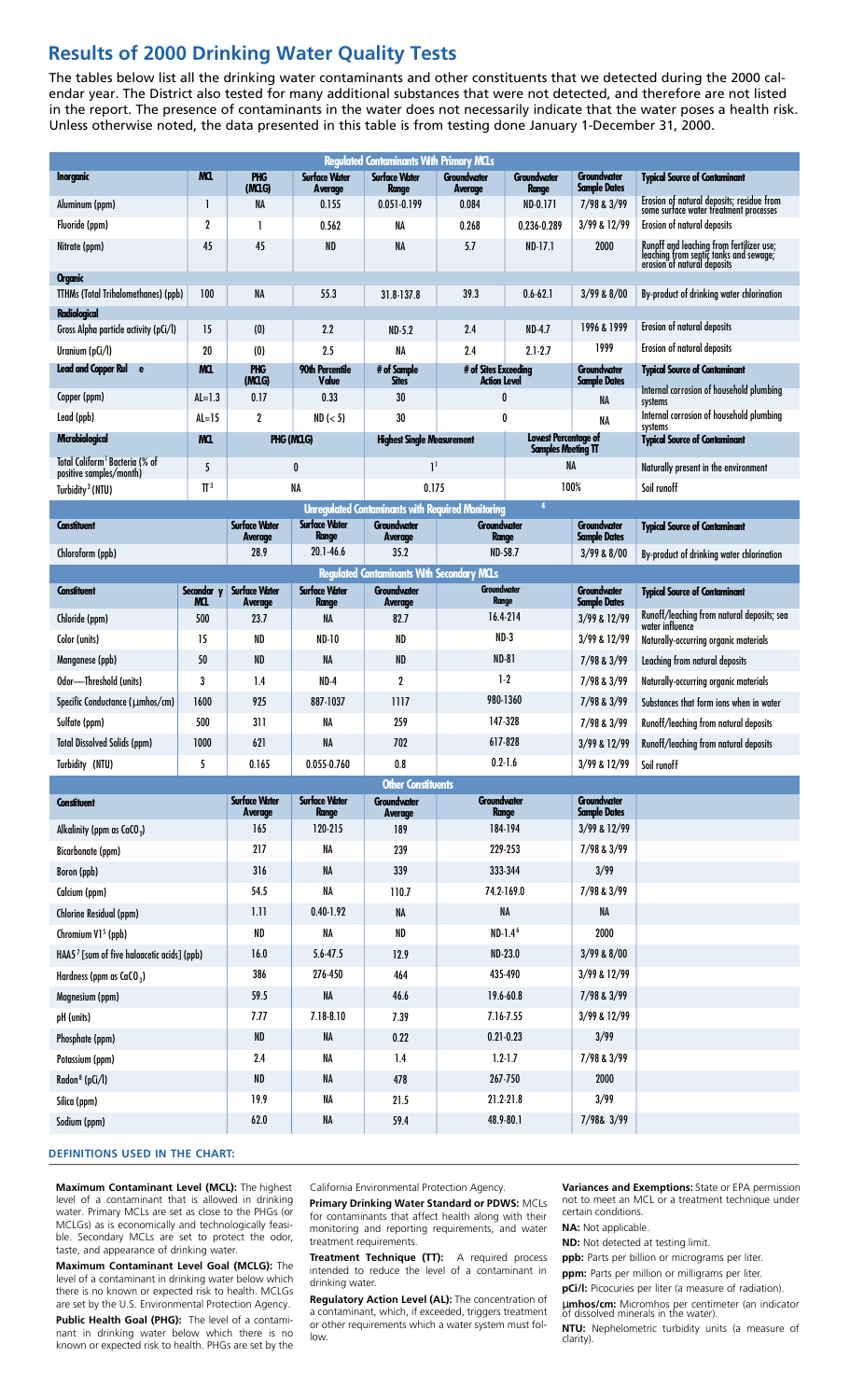# **Results of 2000 Drinking Water Quality Tests**

The tables below list all the drinking water contaminants and other constituents that we detected during the 2000 calendar year. The District also tested for many additional substances that were not detected, and therefore are not listed in the report. The presence of contaminants in the water does not necessarily indicate that the water poses a health risk. Unless otherwise noted, the data presented in this table is from testing done January 1-December 31, 2000.

| <b>Regulated Contaminants With Primary MCLs</b>                       |                   |                                        |                                      |                                                          |                                                          |                                    |                                           |                                                                                                                   |
|-----------------------------------------------------------------------|-------------------|----------------------------------------|--------------------------------------|----------------------------------------------------------|----------------------------------------------------------|------------------------------------|-------------------------------------------|-------------------------------------------------------------------------------------------------------------------|
| <b>Inorganic</b>                                                      | MQ.               | <b>PHG</b><br>(MCLG)                   | <b>Surface Water</b><br>Average      | <b>Surface Water</b><br>Range                            | <b>Groundwater</b><br>Average                            | <b>Groundwater</b><br><b>Range</b> | <b>Groundwater</b><br><b>Sample Dates</b> | <b>Typical Source of Contaminant</b>                                                                              |
| Aluminum (ppm)                                                        | 1                 | NA                                     | 0.155                                | 0.051-0.199                                              | 0.084                                                    | ND-0.171                           | 7/98 & 3/99                               | Erosion of natural deposits; residue from<br>some surface water treatment processes                               |
| Fluoride (ppm)                                                        | 2                 | -1                                     | 0.562                                | NA                                                       | 0.268                                                    | 0.236-0.289                        | 3/99 & 12/99                              | Erosion of natural deposits                                                                                       |
| Nitrate (ppm)                                                         | 45                | 45                                     | <b>ND</b>                            | <b>NA</b>                                                | 5.7                                                      | $ND-17.1$                          | 2000                                      | Runoff and leaching from fertilizer use;<br>leaching from septic tanks and sewage;<br>erosion of natural deposits |
| <b>Organic</b>                                                        |                   |                                        |                                      |                                                          |                                                          |                                    |                                           |                                                                                                                   |
| <b>TTHMs (Total Trihalomethanes) (ppb)</b>                            | 100               | <b>NA</b>                              | 55.3                                 | 31.8-137.8                                               | 39.3                                                     | $0.6 - 62.1$                       | $3/99$ & $8/00$                           | By-product of drinking water chlorination                                                                         |
| <b>Radiological</b>                                                   |                   |                                        |                                      |                                                          |                                                          |                                    |                                           |                                                                                                                   |
| Gross Alpha particle activity (pCi/l)                                 | 15                | (0)                                    | 2.2                                  | $ND-5.2$                                                 | 2.4                                                      | <b>ND-4.7</b>                      | 1996 & 1999                               | Erosion of natural deposits                                                                                       |
| Uranium (pCi/l)                                                       | 20                | (0)                                    | 2.5                                  | NA                                                       | 2.4                                                      | $2.1 - 2.7$                        | 1999                                      | Erosion of natural deposits                                                                                       |
| Lead and Copper Rul e                                                 | MQ.               | <b>PHG</b><br>(MCLG)                   | <b>90th Percentile</b><br>Value      | # of Sample<br><b>Sites</b>                              | # of Sites Exceeding<br><b>Action Level</b>              |                                    | <b>Groundwater</b><br><b>Sample Dates</b> | <b>Typical Source of Contaminant</b>                                                                              |
| Copper (ppm)                                                          | $AL=1.3$          | 0.17                                   | 0.33                                 | 30                                                       | 0                                                        |                                    | NA                                        | Internal corrosion of household plumbing<br>systems                                                               |
| Lead (ppb)                                                            | $AL=15$           | 2                                      | ND (< 5)                             | 30                                                       |                                                          | 0                                  | NA                                        | Internal corrosion of household plumbing<br>systems                                                               |
| Mcrobiological                                                        | MCL.              | PHG (MCLG)                             |                                      | <b>Highest Single Measurement</b>                        | <b>Lowest Percentage of</b><br><b>Samples Meeting TT</b> |                                    |                                           | <b>Typical Source of Contaminant</b>                                                                              |
| Total Coliform <sup>1</sup> Bacteria (% of<br>positive samples/month) | 5                 |                                        | 0                                    | 1 <sup>1</sup>                                           |                                                          |                                    | NA                                        | Naturally present in the environment                                                                              |
| Turbidity <sup>2</sup> (NTU)                                          | $\Pi^3$           |                                        | <b>NA</b>                            | 0.175                                                    | 100%                                                     |                                    |                                           | Soil runoff                                                                                                       |
|                                                                       |                   |                                        |                                      | <b>Unregulated Contaminants with Required Monitoring</b> |                                                          | 4                                  |                                           |                                                                                                                   |
| <b>Constituent</b>                                                    |                   | <b>Surface Water</b><br><b>Average</b> | <b>Surface Water</b><br><b>Range</b> | <b>Groundwater</b><br><b>Average</b>                     | Groundwater<br>Range                                     |                                    | Groundwater<br><b>Sample Dates</b>        | <b>Typical Source of Contaminant</b>                                                                              |
| Chloroform (ppb)                                                      |                   | 28.9                                   | 20.1-46.6                            | 35.2                                                     | <b>ND-58.7</b>                                           |                                    | $3/99$ & $8/00$                           | By-product of drinking water chlorination                                                                         |
| <b>Regulated Contaminants With Secondary MCLs</b>                     |                   |                                        |                                      |                                                          |                                                          |                                    |                                           |                                                                                                                   |
| <b>Constituent</b>                                                    | Secondar y<br>MQ. | <b>Surface Water</b><br><b>Average</b> | <b>Surface Water</b><br><b>Range</b> | Groundwater<br>Average                                   | Groundwater<br><b>Range</b>                              |                                    | <b>Groundwater</b><br><b>Sample Dates</b> | <b>Typical Source of Contaminant</b>                                                                              |
| Chloride (ppm)                                                        | 500               | 23.7                                   | NA                                   | 82.7                                                     | 16.4-214                                                 |                                    | 3/99 & 12/99                              | Runoff/leaching from natural deposits; sea<br>water influence                                                     |
| Color (units)                                                         | 15                | ND                                     | ND-10                                | ND                                                       | $ND-3$                                                   |                                    | 3/99 & 12/99                              | Naturally-occurring organic materials                                                                             |
| Manganese (ppb)                                                       | 50                | ND                                     | <b>NA</b>                            | ND                                                       | <b>ND-81</b>                                             |                                    | 7/98 & 3/99                               | Leaching from natural deposits                                                                                    |
| Odor-Threshold (units)                                                | 3                 | 1.4                                    | ND-4                                 | $\boldsymbol{2}$                                         | $1-2$                                                    |                                    | 7/98 & 3/99                               | Naturally-occurring organic materials                                                                             |
| Specific Conductance (µmhos/cm)                                       | 1600              | 925                                    | 887-1037                             | 1117                                                     | 980-1360                                                 |                                    | 7/98 & 3/99                               | Substances that form ions when in water                                                                           |
| Sulfate (ppm)                                                         | 500               | 311                                    | NA                                   | 259                                                      | 147-328                                                  |                                    | 7/98 & 3/99                               | Runoff/leaching from natural deposits                                                                             |
| <b>Total Dissolved Solids (ppm)</b>                                   | 1000              | 621                                    | <b>NA</b>                            | 702                                                      | 617-828                                                  |                                    | 3/99 & 12/99                              | Runoff/leaching from natural deposits                                                                             |
| Turbidity (NTU)                                                       | 5                 | 0.165                                  | 0.055-0.760                          | 0.8                                                      | $0.2 - 1.6$                                              |                                    | 3/99 & 12/99                              | Soil runoff                                                                                                       |
| <b>Other Constituents</b>                                             |                   |                                        |                                      |                                                          |                                                          |                                    |                                           |                                                                                                                   |
| <b>Constituent</b>                                                    |                   | <b>Surface Water</b><br>Average        | <b>Surface Water</b><br><b>Range</b> | <b>Groundwater</b><br>Average                            | <b>Groundwater</b><br><b>Range</b>                       |                                    | <b>Groundwater</b><br><b>Sample Dates</b> |                                                                                                                   |
| Alkalinity (ppm as $CaCO3$ )                                          |                   | 165                                    | 120-215                              | 189                                                      | 184-194                                                  |                                    | 3/99 & 12/99                              |                                                                                                                   |
| <b>Bicarbonate (ppm)</b>                                              |                   | 217                                    | <b>NA</b>                            | 239                                                      | 229-253                                                  |                                    | 7/98 & 3/99                               |                                                                                                                   |
| Boron (ppb)                                                           |                   | 316                                    | NA                                   | 339                                                      | 333-344                                                  |                                    | 3/99                                      |                                                                                                                   |
| Calcium (ppm)                                                         |                   | 54.5                                   | NA                                   | 110.7                                                    | 74.2-169.0                                               |                                    | 7/98 & 3/99                               |                                                                                                                   |
| <b>Chlorine Residual (ppm)</b>                                        |                   | 1.11                                   | $0.40 - 1.92$                        | NA                                                       | NA                                                       |                                    | NA                                        |                                                                                                                   |
| Chromium V1 <sup>5</sup> (ppb)                                        |                   | ND                                     | NA                                   | ND                                                       |                                                          | ND-1.4 <sup>6</sup>                | 2000                                      |                                                                                                                   |
| HAA5 <sup>7</sup> [sum of five haloacetic acids] (ppb)                |                   | 16.0                                   | $5.6 - 47.5$                         | 12.9                                                     | ND-23.0                                                  |                                    | $3/99$ & $8/00$                           |                                                                                                                   |
| Hardness (ppm as $CaCO3$ )                                            |                   | 386                                    | 276-450                              | 464                                                      | 435-490                                                  |                                    | 3/99 & 12/99                              |                                                                                                                   |
| Magnesium (ppm)                                                       |                   | 59.5                                   | NA                                   | 46.6                                                     |                                                          | 19.6-60.8                          | 7/98 & 3/99                               |                                                                                                                   |
| pH (units)                                                            |                   | 7.77                                   | 7.18-8.10                            | 7.39                                                     |                                                          | 7.16-7.55                          | 3/99 & 12/99                              |                                                                                                                   |
| Phosphate (ppm)                                                       |                   | ND                                     | NA                                   | 0.22                                                     |                                                          | $0.21 - 0.23$                      | 3/99                                      |                                                                                                                   |
| Potassium (ppm)                                                       |                   | 2.4                                    | NA                                   | $1.4\,$                                                  |                                                          | $1.2 - 1.7$                        | 7/98 & 3/99                               |                                                                                                                   |

#### **DEFINITIONS USED IN THE CHART:**

Radon 8 (pCi/l) Silica (ppm) Sodium (ppm)

**Maximum Contaminant Level (MCL):** The highest level of a contaminant that is allowed in drinking water. Primary MCLs are set as close to the PHGs (or MCLGs) as is economically and technologically feasible. Secondary MCLs are set to protect the odor, taste, and appearance of drinking water.

ND 19.9 62.0 NA NA NA

**Maximum Contaminant Level Goal (MCLG):** The level of a contaminant in drinking water below which there is no known or expected risk to health. MCLGs are set by the U.S. Environmental Protection Agency.

**Public Health Goal (PHG):** The level of a contaminant in drinking water below which there is no known or expected risk to health. PHGs are set by the

California Environmental Protection Agency.

478 21.5 59.4

**Primary Drinking Water Standard or PDWS:** MCLs for contaminants that affect health along with their monitoring and reporting requirements, and water treatment requirements.

267-750 21.2-21.8 48.9-80.1

**Treatment Technique (TT):** A required process intended to reduce the level of a contaminant in drinking water.

**Regulatory Action Level (AL):** The concentration of a contaminant, which, if exceeded, triggers treatment or other requirements which a water system must follow.

**Variances and Exemptions:** State or EPA permission not to meet an MCL or a treatment technique under certain conditions.

**NA:** Not applicable.

2000 3/99 7/98& 3/99

**ND:** Not detected at testing limit.

**ppb:** Parts per billion or micrograms per liter.

**ppm:** Parts per million or milligrams per liter.

**pCi/l:** Picocuries per liter (a measure of radiation). µ**mhos/cm:** Micromhos per centimeter (an indicator of dissolved minerals in the water).

**NTU:** Nephelometric turbidity units (a measure of clarity).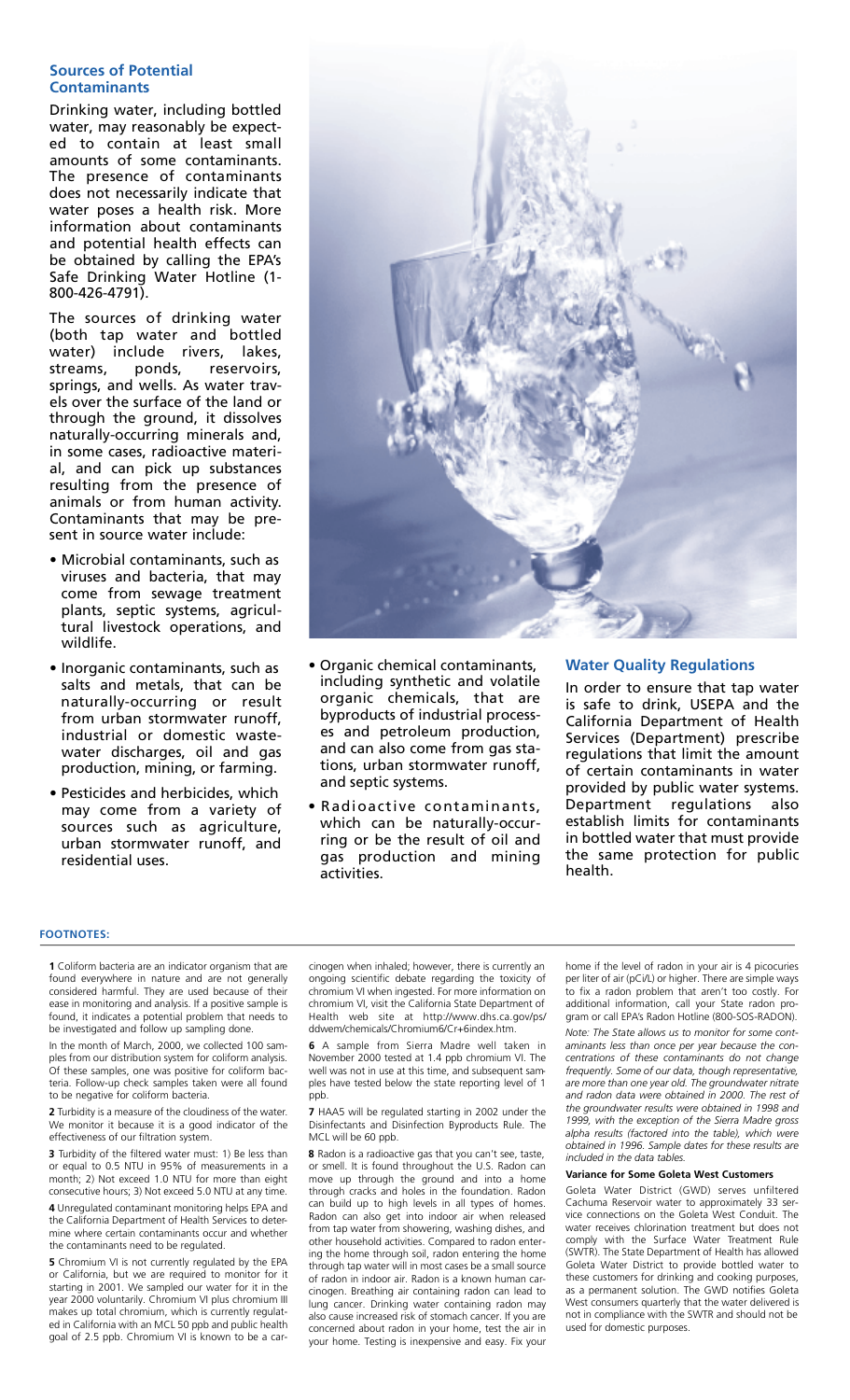#### **Sources of Potential Contaminants**

Drinking water, including bottled water, may reasonably be expected to contain at least small amounts of some contaminants. The presence of contaminants does not necessarily indicate that water poses a health risk. More information about contaminants and potential health effects can be obtained by calling the EPA's Safe Drinking Water Hotline (1- 800-426-4791).

The sources of drinking water (both tap water and bottled water) include rivers, lakes, streams, ponds, reservoirs, springs, and wells. As water travels over the surface of the land or through the ground, it dissolves naturally-occurring minerals and, in some cases, radioactive material, and can pick up substances resulting from the presence of animals or from human activity. Contaminants that may be present in source water include:

- Microbial contaminants, such as viruses and bacteria, that may come from sewage treatment plants, septic systems, agricultural livestock operations, and wildlife.
- Inorganic contaminants, such as salts and metals, that can be naturally-occurring or result from urban stormwater runoff, industrial or domestic wastewater discharges, oil and gas production, mining, or farming.
- Pesticides and herbicides, which may come from a variety of sources such as agriculture, urban stormwater runoff, and residential uses.



- Organic chemical contaminants, including synthetic and volatile organic chemicals, that are byproducts of industrial processes and petroleum production, and can also come from gas stations, urban stormwater runoff, and septic systems.
- Radioactive contaminants, which can be naturally-occurring or be the result of oil and gas production and mining activities.

#### **Water Quality Regulations**

In order to ensure that tap water is safe to drink, USEPA and the California Department of Health Services (Department) prescribe regulations that limit the amount of certain contaminants in water provided by public water systems. Department regulations also establish limits for contaminants in bottled water that must provide the same protection for public health.

#### **FOOTNOTES:**

**1** Coliform bacteria are an indicator organism that are found everywhere in nature and are not generally considered harmful. They are used because of their ease in monitoring and analysis. If a positive sample is found, it indicates a potential problem that needs to be investigated and follow up sampling done.

In the month of March, 2000, we collected 100 samples from our distribution system for coliform analysis. Of these samples, one was positive for coliform bacteria. Follow-up check samples taken were all found to be negative for coliform bacteria.

**2** Turbidity is a measure of the cloudiness of the water. We monitor it because it is a good indicator of the effectiveness of our filtration system.

**3** Turbidity of the filtered water must: 1) Be less than or equal to 0.5 NTU in 95% of measurements in a month; 2) Not exceed 1.0 NTU for more than eight consecutive hours; 3) Not exceed 5.0 NTU at any time.

**4** Unregulated contaminant monitoring helps EPA and the California Department of Health Services to determine where certain contaminants occur and whether the contaminants need to be regulated.

**5** Chromium VI is not currently regulated by the EPA or California, but we are required to monitor for it starting in 2001. We sampled our water for it in the year 2000 voluntarily. Chromium VI plus chromium III makes up total chromium, which is currently regulated in California with an MCL 50 ppb and public health goal of 2.5 ppb. Chromium VI is known to be a carcinogen when inhaled; however, there is currently an ongoing scientific debate regarding the toxicity of chromium VI when ingested. For more information on chromium VI, visit the California State Department of Health web site at http://www.dhs.ca.gov/ps/ ddwem/chemicals/Chromium6/Cr+6index.htm.

**6** A sample from Sierra Madre well taken November 2000 tested at 1.4 ppb chromium VI. The well was not in use at this time, and subsequent samples have tested below the state reporting level of 1 ppb.

**7** HAA5 will be regulated starting in 2002 under the Disinfectants and Disinfection Byproducts Rule. The MCL will be 60 ppb.

**8** Radon is a radioactive gas that you can't see, taste, or smell. It is found throughout the U.S. Radon can move up through the ground and into a home through cracks and holes in the foundation. Radon can build up to high levels in all types of homes Radon can also get into indoor air when released from tap water from showering, washing dishes, and other household activities. Compared to radon entering the home through soil, radon entering the home through tap water will in most cases be a small source of radon in indoor air. Radon is a known human carcinogen. Breathing air containing radon can lead to lung cancer. Drinking water containing radon may also cause increased risk of stomach cancer. If you are concerned about radon in your home, test the air in your home. Testing is inexpensive and easy. Fix your

home if the level of radon in your air is 4 picocuries per liter of air (pCi/L) or higher. There are simple ways to fix a radon problem that aren't too costly. For additional information, call your State radon program or call EPA's Radon Hotline (800-SOS-RADON).

*Note: The State allows us to monitor for some contaminants less than once per year because the concentrations of these contaminants do not change frequently. Some of our data, though representative, are more than one year old. The groundwater nitrate and radon data were obtained in 2000. The rest of the groundwater results were obtained in 1998 and 1999, with the exception of the Sierra Madre gross alpha results (factored into the table), which were obtained in 1996. Sample dates for these results are included in the data tables.*

#### **Variance for Some Goleta West Customers**

Goleta Water District (GWD) serves unfiltered Cachuma Reservoir water to approximately 33 service connections on the Goleta West Conduit. The water receives chlorination treatment but does not comply with the Surface Water Treatment Rule (SWTR). The State Department of Health has allowed Goleta Water District to provide bottled water to these customers for drinking and cooking purposes, as a permanent solution. The GWD notifies Goleta West consumers quarterly that the water delivered is not in compliance with the SWTR and should not be used for domestic purposes.